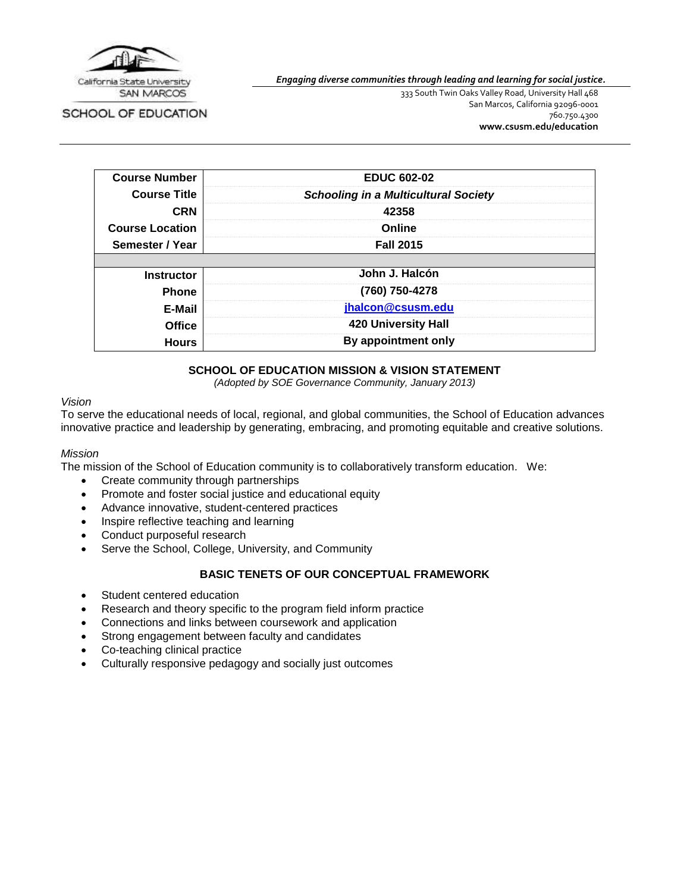

SCHOOL OF EDUCATION

*Engaging diverse communities through leading and learning for social justice.*

333 South Twin Oaks Valley Road, University Hall 468 San Marcos, California 92096-0001 760.750.4300 **[www.csusm.edu/education](http://www.csusm.edu/education)**

| <b>Course Number</b>   | <b>EDUC 602-02</b>                          |  |
|------------------------|---------------------------------------------|--|
| <b>Course Title</b>    | <b>Schooling in a Multicultural Society</b> |  |
| <b>CRN</b>             | 42358                                       |  |
| <b>Course Location</b> | Online                                      |  |
| Semester / Year        | <b>Fall 2015</b>                            |  |
|                        |                                             |  |
| <b>Instructor</b>      | John J. Halcón                              |  |
| <b>Phone</b>           | (760) 750-4278                              |  |
| E-Mail                 | jhalcon@csusm.edu                           |  |
| <b>Office</b>          | <b>420 University Hall</b>                  |  |
| <b>Hours</b>           | By appointment only                         |  |

## **SCHOOL OF EDUCATION MISSION & VISION STATEMENT**

*(Adopted by SOE Governance Community, January 2013)*

#### *Vision*

To serve the educational needs of local, regional, and global communities, the School of Education advances innovative practice and leadership by generating, embracing, and promoting equitable and creative solutions.

#### *Mission*

The mission of the School of Education community is to collaboratively transform education. We:

- Create community through partnerships
- Promote and foster social justice and educational equity
- Advance innovative, student-centered practices
- Inspire reflective teaching and learning
- Conduct purposeful research
- Serve the School, College, University, and Community

#### **BASIC TENETS OF OUR CONCEPTUAL FRAMEWORK**

- Student centered education
- Research and theory specific to the program field inform practice
- Connections and links between coursework and application
- Strong engagement between faculty and candidates
- Co-teaching clinical practice
- Culturally responsive pedagogy and socially just outcomes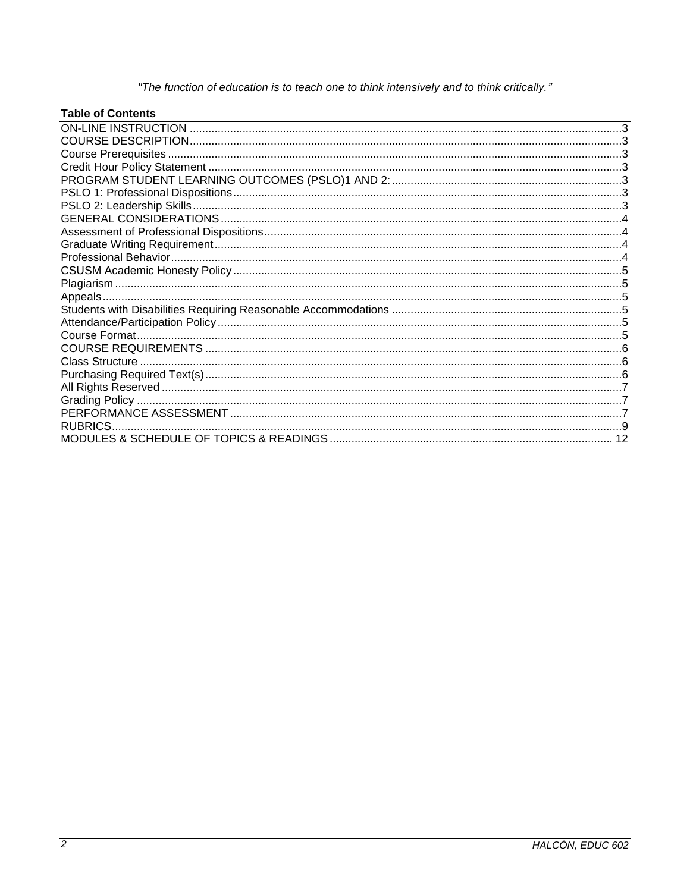"The function of education is to teach one to think intensively and to think critically."

# **Table of Contents**

| RUBRICS. |  |
|----------|--|
|          |  |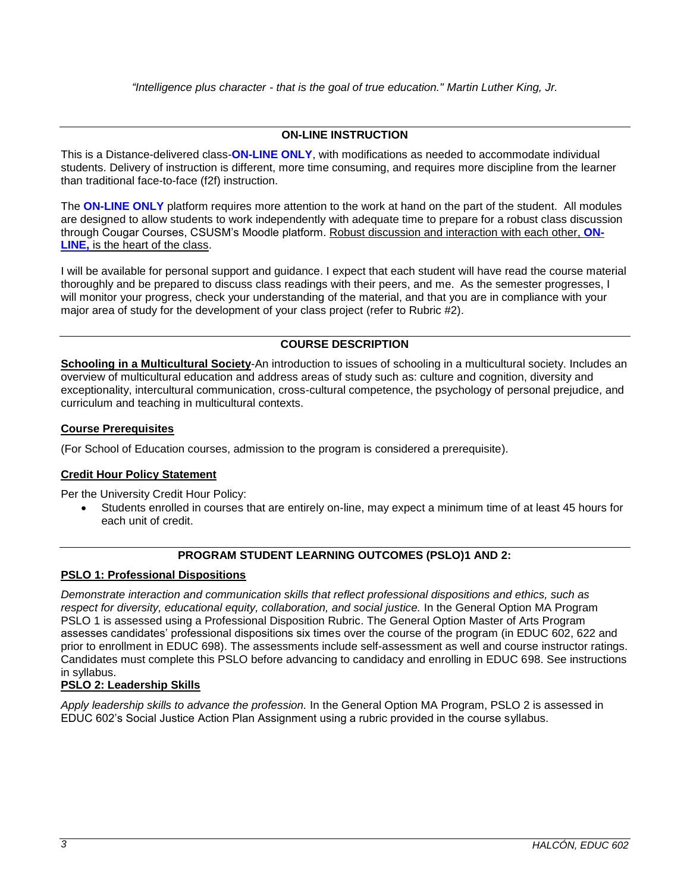## **ON-LINE INSTRUCTION**

<span id="page-2-0"></span>This is a Distance-delivered class-**ON-LINE ONLY**, with modifications as needed to accommodate individual students. Delivery of instruction is different, more time consuming, and requires more discipline from the learner than traditional face-to-face (f2f) instruction.

The **ON-LINE ONLY** platform requires more attention to the work at hand on the part of the student. All modules are designed to allow students to work independently with adequate time to prepare for a robust class discussion through Cougar Courses, CSUSM's Moodle platform. Robust discussion and interaction with each other, **ON-LINE,** is the heart of the class.

I will be available for personal support and guidance. I expect that each student will have read the course material thoroughly and be prepared to discuss class readings with their peers, and me. As the semester progresses, I will monitor your progress, check your understanding of the material, and that you are in compliance with your major area of study for the development of your class project (refer to Rubric #2).

## **COURSE DESCRIPTION**

<span id="page-2-1"></span>**Schooling in a Multicultural Society**-An introduction to issues of schooling in a multicultural society. Includes an overview of multicultural education and address areas of study such as: culture and cognition, diversity and exceptionality, intercultural communication, cross-cultural competence, the psychology of personal prejudice, and curriculum and teaching in multicultural contexts.

#### <span id="page-2-2"></span>**Course Prerequisites**

(For School of Education courses, admission to the program is considered a prerequisite).

## <span id="page-2-3"></span>**Credit Hour Policy Statement**

Per the University Credit Hour Policy:

 Students enrolled in courses that are entirely on-line, may expect a minimum time of at least 45 hours for each unit of credit.

## **PROGRAM STUDENT LEARNING OUTCOMES (PSLO)1 AND 2:**

## <span id="page-2-5"></span><span id="page-2-4"></span>**PSLO 1: Professional Dispositions**

*Demonstrate interaction and communication skills that reflect professional dispositions and ethics, such as respect for diversity, educational equity, collaboration, and social justice.* In the General Option MA Program PSLO 1 is assessed using a Professional Disposition Rubric. The General Option Master of Arts Program assesses candidates' professional dispositions six times over the course of the program (in EDUC 602, 622 and prior to enrollment in EDUC 698). The assessments include self-assessment as well and course instructor ratings. Candidates must complete this PSLO before advancing to candidacy and enrolling in EDUC 698. See instructions in syllabus.

## <span id="page-2-6"></span>**PSLO 2: Leadership Skills**

*Apply leadership skills to advance the profession.* In the General Option MA Program, PSLO 2 is assessed in EDUC 602's Social Justice Action Plan Assignment using a rubric provided in the course syllabus.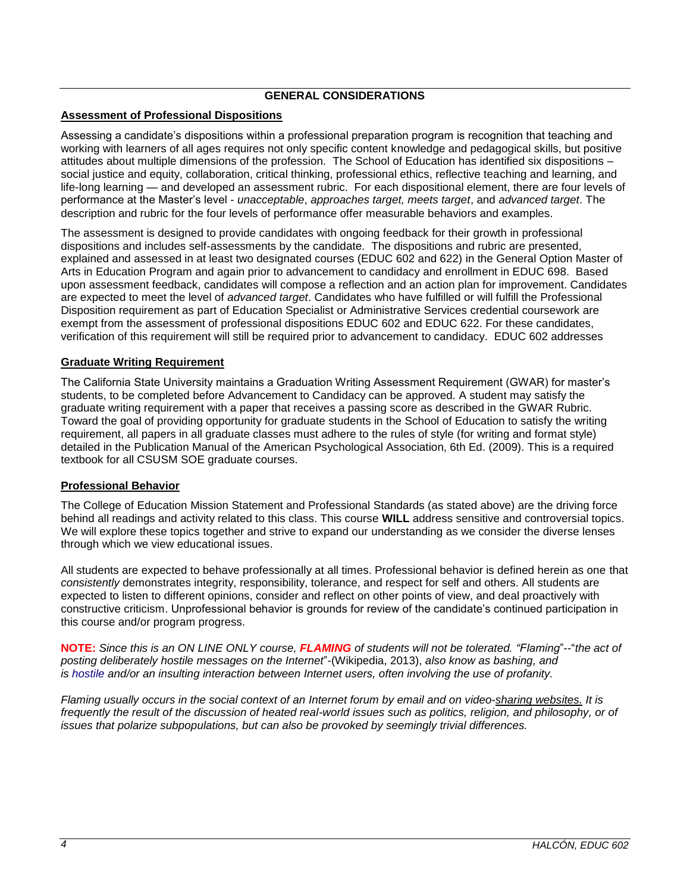## **GENERAL CONSIDERATIONS**

# <span id="page-3-1"></span><span id="page-3-0"></span>**Assessment of Professional Dispositions**

Assessing a candidate's dispositions within a professional preparation program is recognition that teaching and working with learners of all ages requires not only specific content knowledge and pedagogical skills, but positive attitudes about multiple dimensions of the profession. The School of Education has identified six dispositions – social justice and equity, collaboration, critical thinking, professional ethics, reflective teaching and learning, and life-long learning — and developed an assessment rubric. For each dispositional element, there are four levels of performance at the Master's level - *unacceptable*, *approaches target, meets target*, and *advanced target*. The description and rubric for the four levels of performance offer measurable behaviors and examples.

The assessment is designed to provide candidates with ongoing feedback for their growth in professional dispositions and includes self-assessments by the candidate. The dispositions and rubric are presented, explained and assessed in at least two designated courses (EDUC 602 and 622) in the General Option Master of Arts in Education Program and again prior to advancement to candidacy and enrollment in EDUC 698. Based upon assessment feedback, candidates will compose a reflection and an action plan for improvement. Candidates are expected to meet the level of *advanced target*. Candidates who have fulfilled or will fulfill the Professional Disposition requirement as part of Education Specialist or Administrative Services credential coursework are exempt from the assessment of professional dispositions EDUC 602 and EDUC 622. For these candidates, verification of this requirement will still be required prior to advancement to candidacy. EDUC 602 addresses

## <span id="page-3-2"></span>**Graduate Writing Requirement**

The California State University maintains a Graduation Writing Assessment Requirement (GWAR) for master's students, to be completed before Advancement to Candidacy can be approved. A student may satisfy the graduate writing requirement with a paper that receives a passing score as described in the GWAR Rubric. Toward the goal of providing opportunity for graduate students in the School of Education to satisfy the writing requirement, all papers in all graduate classes must adhere to the rules of style (for writing and format style) detailed in the Publication Manual of the American Psychological Association, 6th Ed. (2009). This is a required textbook for all CSUSM SOE graduate courses.

## <span id="page-3-3"></span>**Professional Behavior**

The College of Education Mission Statement and Professional Standards (as stated above) are the driving force behind all readings and activity related to this class. This course **WILL** address sensitive and controversial topics. We will explore these topics together and strive to expand our understanding as we consider the diverse lenses through which we view educational issues.

All students are expected to behave professionally at all times. Professional behavior is defined herein as one that *consistently* demonstrates integrity, responsibility, tolerance, and respect for self and others. All students are expected to listen to different opinions, consider and reflect on other points of view, and deal proactively with constructive criticism. Unprofessional behavior is grounds for review of the candidate's continued participation in this course and/or program progress.

**NOTE:** *Since this is an ON LINE ONLY course, FLAMING of students will not be tolerated. "Flaming*"--"*the act of posting deliberately hostile messages on the Internet*"-(Wikipedia, 2013), *also know as bashing, and is* [hostile](http://en.wikipedia.org/wiki/Hostile) and/or an insulting interaction between Internet users, often involving the use of [profanity.](http://en.wikipedia.org/wiki/Profanity)

*Flaming usually occurs in the social context of an Internet forum by email and on [video-sharing websites.](http://en.wikipedia.org/wiki/Video_hosting_service) It is frequently the result of the discussion of heated real-world issues such as politics, religion, and philosophy, or of issues that polarize subpopulations, but can also be provoked by seemingly trivial differences.*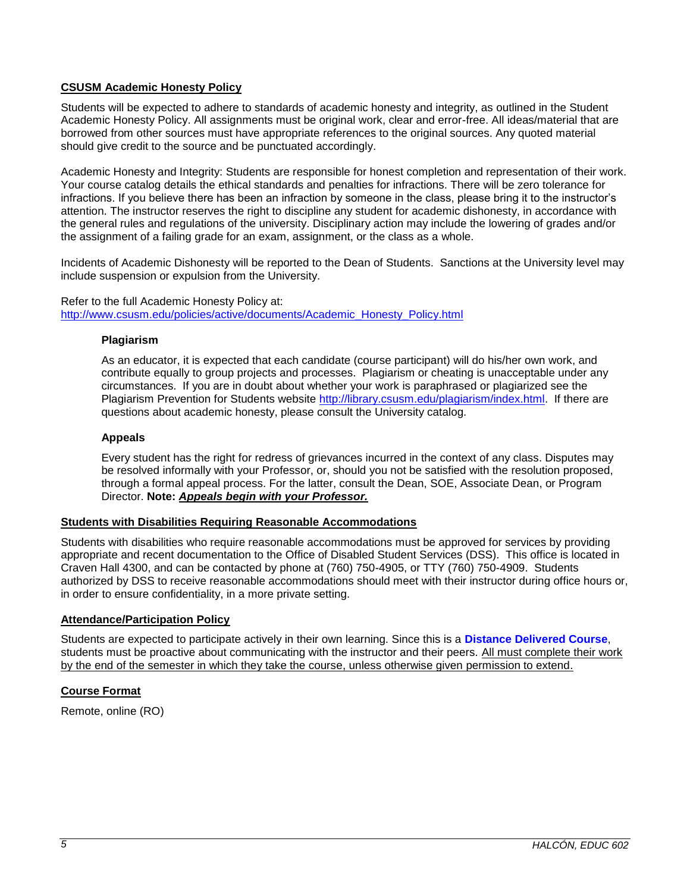## <span id="page-4-0"></span>**CSUSM Academic Honesty Policy**

Students will be expected to adhere to standards of academic honesty and integrity, as outlined in the Student Academic Honesty Policy. All assignments must be original work, clear and error-free. All ideas/material that are borrowed from other sources must have appropriate references to the original sources. Any quoted material should give credit to the source and be punctuated accordingly.

Academic Honesty and Integrity: Students are responsible for honest completion and representation of their work. Your course catalog details the ethical standards and penalties for infractions. There will be zero tolerance for infractions. If you believe there has been an infraction by someone in the class, please bring it to the instructor's attention. The instructor reserves the right to discipline any student for academic dishonesty, in accordance with the general rules and regulations of the university. Disciplinary action may include the lowering of grades and/or the assignment of a failing grade for an exam, assignment, or the class as a whole.

Incidents of Academic Dishonesty will be reported to the Dean of Students. Sanctions at the University level may include suspension or expulsion from the University.

<span id="page-4-1"></span>Refer to the full Academic Honesty Policy at: [http://www.csusm.edu/policies/active/documents/Academic\\_Honesty\\_Policy.html](http://www.csusm.edu/policies/active/documents/Academic_Honesty_Policy.html)

#### **Plagiarism**

As an educator, it is expected that each candidate (course participant) will do his/her own work, and contribute equally to group projects and processes. Plagiarism or cheating is unacceptable under any circumstances. If you are in doubt about whether your work is paraphrased or plagiarized see the Plagiarism Prevention for Students website [http://library.csusm.edu/plagiarism/index.html.](http://library.csusm.edu/plagiarism/index.html) If there are questions about academic honesty, please consult the University catalog.

#### <span id="page-4-2"></span>**Appeals**

Every student has the right for redress of grievances incurred in the context of any class. Disputes may be resolved informally with your Professor, or, should you not be satisfied with the resolution proposed, through a formal appeal process. For the latter, consult the Dean, SOE, Associate Dean, or Program Director. **Note:** *Appeals begin with your Professor.*

#### <span id="page-4-3"></span>**Students with Disabilities Requiring Reasonable Accommodations**

Students with disabilities who require reasonable accommodations must be approved for services by providing appropriate and recent documentation to the Office of Disabled Student Services (DSS). This office is located in Craven Hall 4300, and can be contacted by phone at (760) 750-4905, or TTY (760) 750-4909. Students authorized by DSS to receive reasonable accommodations should meet with their instructor during office hours or, in order to ensure confidentiality, in a more private setting.

## <span id="page-4-4"></span>**Attendance/Participation Policy**

Students are expected to participate actively in their own learning. Since this is a **Distance Delivered Course**, students must be proactive about communicating with the instructor and their peers. All must complete their work by the end of the semester in which they take the course, unless otherwise given permission to extend.

## <span id="page-4-5"></span>**Course Format**

Remote, online (RO)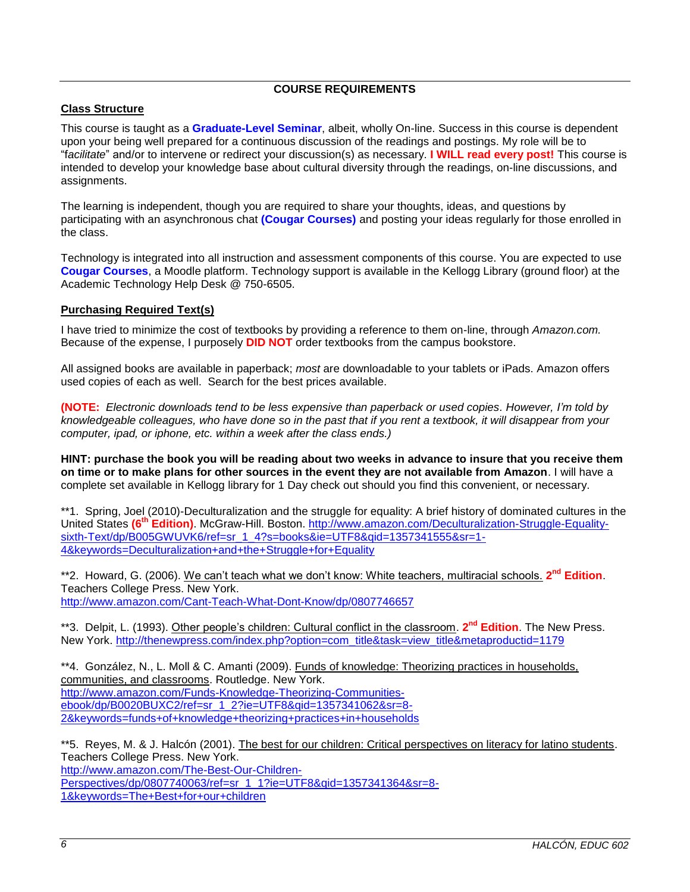# **COURSE REQUIREMENTS**

#### <span id="page-5-1"></span><span id="page-5-0"></span>**Class Structure**

This course is taught as a **Graduate-Level Seminar**, albeit, wholly On-line. Success in this course is dependent upon your being well prepared for a continuous discussion of the readings and postings. My role will be to "f*acilitate*" and/or to intervene or redirect your discussion(s) as necessary. **I WILL read every post!** This course is intended to develop your knowledge base about cultural diversity through the readings, on-line discussions, and assignments.

The learning is independent, though you are required to share your thoughts, ideas, and questions by participating with an asynchronous chat **(Cougar Courses)** and posting your ideas regularly for those enrolled in the class.

Technology is integrated into all instruction and assessment components of this course. You are expected to use **Cougar Courses**, a Moodle platform. Technology support is available in the Kellogg Library (ground floor) at the Academic Technology Help Desk @ 750-6505.

## <span id="page-5-2"></span>**Purchasing Required Text(s)**

I have tried to minimize the cost of textbooks by providing a reference to them on-line, through *Amazon.com.*  Because of the expense, I purposely **DID NOT** order textbooks from the campus bookstore.

All assigned books are available in paperback; *most* are downloadable to your tablets or iPads. Amazon offers used copies of each as well. Search for the best prices available.

**(NOTE:** *Electronic downloads tend to be less expensive than paperback or used copies. However, I'm told by knowledgeable colleagues, who have done so in the past that if you rent a textbook, it will disappear from your computer, ipad, or iphone, etc. within a week after the class ends.)*

**HINT: purchase the book you will be reading about two weeks in advance to insure that you receive them on time or to make plans for other sources in the event they are not available from Amazon**. I will have a complete set available in Kellogg library for 1 Day check out should you find this convenient, or necessary.

\*\*1. Spring, Joel (2010)-Deculturalization and the struggle for equality: A brief history of dominated cultures in the United States **(6th Edition)**. McGraw-Hill. Boston. [http://www.amazon.com/Deculturalization-Struggle-Equality](http://www.amazon.com/Deculturalization-Struggle-Equality-sixth-Text/dp/B005GWUVK6/ref=sr_1_4?s=books&ie=UTF8&qid=1357341555&sr=1-4&keywords=Deculturalization+and+the+Struggle+for+Equality)[sixth-Text/dp/B005GWUVK6/ref=sr\\_1\\_4?s=books&ie=UTF8&qid=1357341555&sr=1-](http://www.amazon.com/Deculturalization-Struggle-Equality-sixth-Text/dp/B005GWUVK6/ref=sr_1_4?s=books&ie=UTF8&qid=1357341555&sr=1-4&keywords=Deculturalization+and+the+Struggle+for+Equality) [4&keywords=Deculturalization+and+the+Struggle+for+Equality](http://www.amazon.com/Deculturalization-Struggle-Equality-sixth-Text/dp/B005GWUVK6/ref=sr_1_4?s=books&ie=UTF8&qid=1357341555&sr=1-4&keywords=Deculturalization+and+the+Struggle+for+Equality)

\*\*2. Howard, G. (2006). We can't teach what we don't know: White teachers, multiracial schools. **2 nd Edition**. Teachers College Press. New York. <http://www.amazon.com/Cant-Teach-What-Dont-Know/dp/0807746657>

\*\*3. Delpit, L. (1993). Other people's children: Cultural conflict in the classroom. **2 nd Edition**. The New Press. New York. [http://thenewpress.com/index.php?option=com\\_title&task=view\\_title&metaproductid=1179](http://thenewpress.com/index.php?option=com_title&task=view_title&metaproductid=1179)

\*\*4. González, N., L. Moll & C. Amanti (2009). Funds of knowledge: Theorizing practices in households, communities, and classrooms. Routledge. New York. [http://www.amazon.com/Funds-Knowledge-Theorizing-Communities](http://www.amazon.com/Funds-Knowledge-Theorizing-Communities-ebook/dp/B0020BUXC2/ref=sr_1_2?ie=UTF8&qid=1357341062&sr=8-2&keywords=funds+of+knowledge+theorizing+practices+in+households)[ebook/dp/B0020BUXC2/ref=sr\\_1\\_2?ie=UTF8&qid=1357341062&sr=8-](http://www.amazon.com/Funds-Knowledge-Theorizing-Communities-ebook/dp/B0020BUXC2/ref=sr_1_2?ie=UTF8&qid=1357341062&sr=8-2&keywords=funds+of+knowledge+theorizing+practices+in+households) [2&keywords=funds+of+knowledge+theorizing+practices+in+households](http://www.amazon.com/Funds-Knowledge-Theorizing-Communities-ebook/dp/B0020BUXC2/ref=sr_1_2?ie=UTF8&qid=1357341062&sr=8-2&keywords=funds+of+knowledge+theorizing+practices+in+households)

\*\*5. Reyes, M. & J. Halcón (2001). The best for our children: Critical perspectives on literacy for latino students. Teachers College Press. New York. [http://www.amazon.com/The-Best-Our-Children-](http://www.amazon.com/The-Best-Our-Children-Perspectives/dp/0807740063/ref=sr_1_1?ie=UTF8&qid=1357341364&sr=8-1&keywords=The+Best+for+our+children)[Perspectives/dp/0807740063/ref=sr\\_1\\_1?ie=UTF8&qid=1357341364&sr=8-](http://www.amazon.com/The-Best-Our-Children-Perspectives/dp/0807740063/ref=sr_1_1?ie=UTF8&qid=1357341364&sr=8-1&keywords=The+Best+for+our+children) [1&keywords=The+Best+for+our+children](http://www.amazon.com/The-Best-Our-Children-Perspectives/dp/0807740063/ref=sr_1_1?ie=UTF8&qid=1357341364&sr=8-1&keywords=The+Best+for+our+children)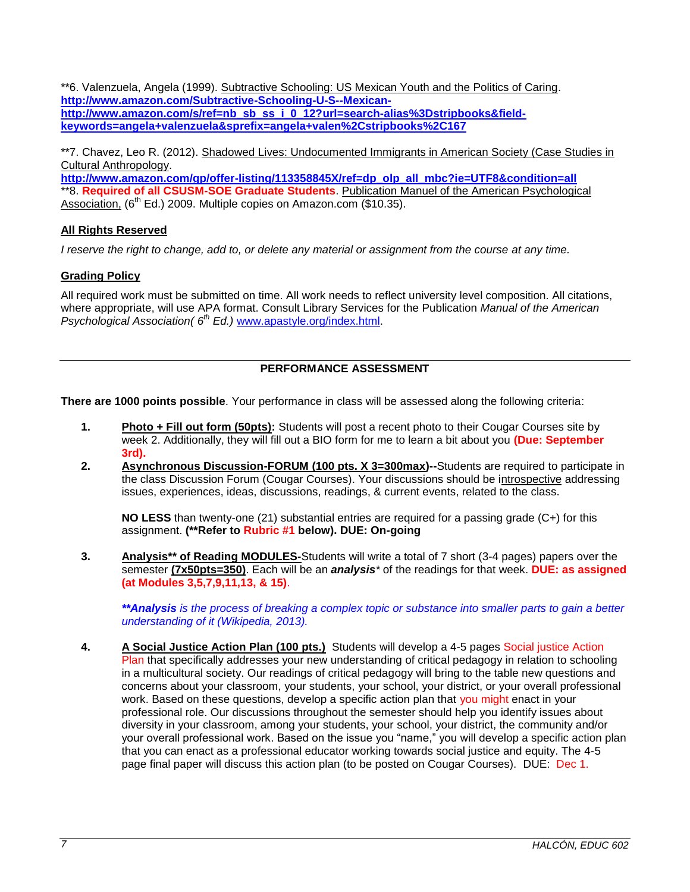\*\*6. Valenzuela, Angela (1999). Subtractive Schooling: US Mexican Youth and the Politics of Caring. **[http://www.amazon.com/Subtractive-Schooling-U-S--Mexican](http://www.amazon.com/Subtractive-Schooling-U-S--Mexican-http:/www.amazon.com/s/ref=nb_sb_ss_i_0_12?url=search-alias%3Dstripbooks&field-keywords=angela+valenzuela&sprefix=angela+valen%2Cstripbooks%2C167)**[http://www.amazon.com/s/ref=nb\\_sb\\_ss\\_i\\_0\\_12?url=search-alias%3Dstripbooks&field](http://www.amazon.com/Subtractive-Schooling-U-S--Mexican-http:/www.amazon.com/s/ref=nb_sb_ss_i_0_12?url=search-alias%3Dstripbooks&field-keywords=angela+valenzuela&sprefix=angela+valen%2Cstripbooks%2C167)**[keywords=angela+valenzuela&sprefix=angela+valen%2Cstripbooks%2C167](http://www.amazon.com/Subtractive-Schooling-U-S--Mexican-http:/www.amazon.com/s/ref=nb_sb_ss_i_0_12?url=search-alias%3Dstripbooks&field-keywords=angela+valenzuela&sprefix=angela+valen%2Cstripbooks%2C167)**

\*\*7. Chavez, Leo R. (2012). Shadowed Lives: Undocumented Immigrants in American Society (Case Studies in Cultural Anthropology.

**[http://www.amazon.com/gp/offer-listing/113358845X/ref=dp\\_olp\\_all\\_mbc?ie=UTF8&condition=all](http://www.amazon.com/gp/offer-listing/113358845X/ref=dp_olp_all_mbc?ie=UTF8&condition=all)** \*\*8. **Required of all CSUSM-SOE Graduate Students**. Publication Manuel of the American Psychological Association, (6<sup>th</sup> Ed.) 2009. Multiple copies on Amazon.com (\$10.35).

## <span id="page-6-0"></span>**All Rights Reserved**

*I reserve the right to change, add to, or delete any material or assignment from the course at any time.*

# <span id="page-6-1"></span>**Grading Policy**

All required work must be submitted on time. All work needs to reflect university level composition. All citations, where appropriate, will use APA format. Consult Library Services for the Publication *Manual of the American Psychological Association( 6th Ed.)* [www.apastyle.org/index.html.](http://www.apastyle.org/index.html)

# **PERFORMANCE ASSESSMENT**

<span id="page-6-2"></span>**There are 1000 points possible**. Your performance in class will be assessed along the following criteria:

- **1. Photo + Fill out form (50pts):** Students will post a recent photo to their Cougar Courses site by week 2. Additionally, they will fill out a BIO form for me to learn a bit about you **(Due: September 3rd).**
- **2. Asynchronous Discussion-FORUM (100 pts. X 3=300max)--**Students are required to participate in the class Discussion Forum (Cougar Courses). Your discussions should be introspective addressing issues, experiences, ideas, discussions, readings, & current events, related to the class.

**NO LESS** than twenty-one (21) substantial entries are required for a passing grade (C+) for this assignment. **(\*\*Refer to Rubric #1 below). DUE: On-going**

**3. Analysis\*\* of Reading MODULES-**Students will write a total of 7 short (3-4 pages) papers over the semester **(7x50pts=350)**. Each will be an *analysis\** of the readings for that week. **DUE: as assigned (at Modules 3,5,7,9,11,13, & 15)**.

*\*\*Analysis is the process of breaking a [complex topic](http://en.wikipedia.org/wiki/Complexity) or substance into smaller parts to gain a better understanding of it (Wikipedia, 2013).*

**4. A Social Justice Action Plan (100 pts.)** Students will develop a 4-5 pages Social justice Action Plan that specifically addresses your new understanding of critical pedagogy in relation to schooling in a multicultural society. Our readings of critical pedagogy will bring to the table new questions and concerns about your classroom, your students, your school, your district, or your overall professional work. Based on these questions, develop a specific action plan that you might enact in your professional role. Our discussions throughout the semester should help you identify issues about diversity in your classroom, among your students, your school, your district, the community and/or your overall professional work. Based on the issue you "name," you will develop a specific action plan that you can enact as a professional educator working towards social justice and equity. The 4-5 page final paper will discuss this action plan (to be posted on Cougar Courses). DUE: Dec 1.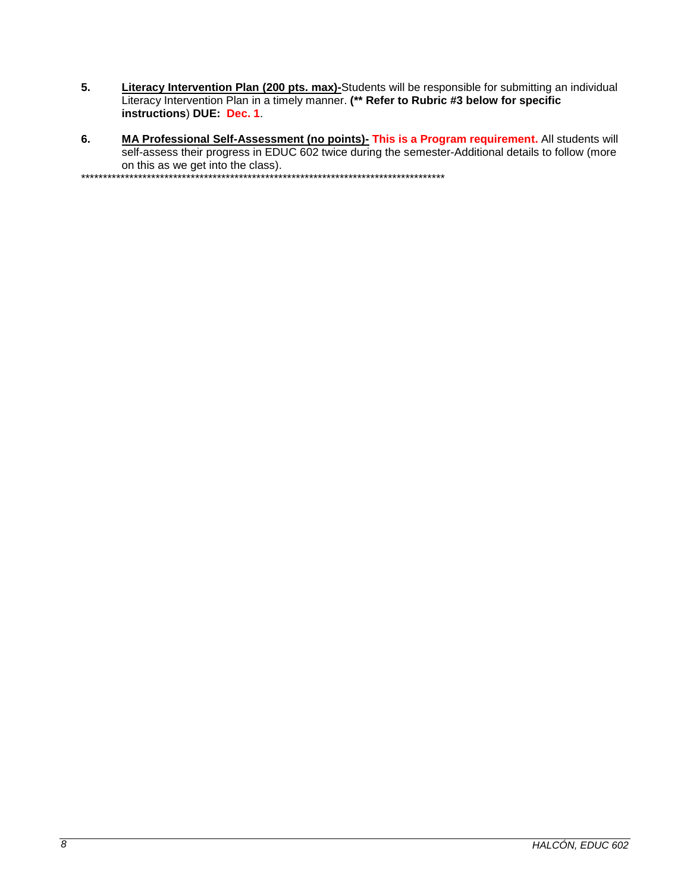- 5. Literacy Intervention Plan (200 pts. max)-Students will be responsible for submitting an individual Literacy Intervention Plan in a timely manner. (\*\* Refer to Rubric #3 below for specific instructions) DUE: Dec. 1.
- MA Professional Self-Assessment (no points)- This is a Program requirement. All students will self-assess their progress in EDUC 602 twice during the semester-Additional details to follow (more 6. on this as we get into the class).

\*\*\*\*\*\*\*\*\*\*\*\*\*\*\*\*\*\*\*\*\*\*\*\*\*\*\*\*\*\*\*\*\*\*\* \*\*\*\*\*\*\*\*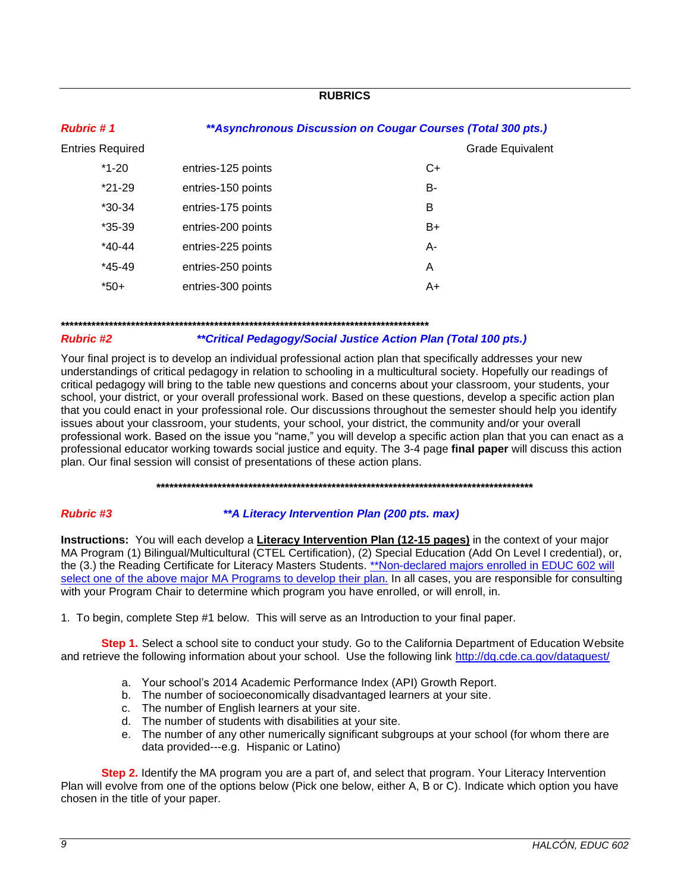## **RUBRICS**

<span id="page-8-0"></span>

| <b>Rubric #1</b>        | ** Asynchronous Discussion on Cougar Courses (Total 300 pts.) |                  |  |
|-------------------------|---------------------------------------------------------------|------------------|--|
| <b>Entries Required</b> |                                                               | Grade Equivalent |  |
| $*1-20$                 | entries-125 points                                            | C+               |  |
| $*21-29$                | entries-150 points                                            | B-               |  |
| $*30-34$                | entries-175 points                                            | B                |  |
| $*35-39$                | entries-200 points                                            | B+               |  |
| $*40-44$                | entries-225 points                                            | A-               |  |
| $*45-49$                | entries-250 points                                            | A                |  |
| $*50+$                  | entries-300 points                                            | A+               |  |

#### 

#### **Rubric #2**

#### \*\*Critical Pedagogy/Social Justice Action Plan (Total 100 pts.)

Your final project is to develop an individual professional action plan that specifically addresses your new understandings of critical pedagogy in relation to schooling in a multicultural society. Hopefully our readings of critical pedagogy will bring to the table new questions and concerns about your classroom, your students, your school, your district, or your overall professional work. Based on these questions, develop a specific action plan that you could enact in your professional role. Our discussions throughout the semester should help you identify issues about your classroom, your students, your school, your district, the community and/or your overall professional work. Based on the issue you "name," you will develop a specific action plan that you can enact as a professional educator working towards social justice and equity. The 3-4 page final paper will discuss this action plan. Our final session will consist of presentations of these action plans.

#### 

#### **Rubric #3**

#### \*\* A Literacy Intervention Plan (200 pts. max)

Instructions: You will each develop a Literacy Intervention Plan (12-15 pages) in the context of your major MA Program (1) Bilingual/Multicultural (CTEL Certification), (2) Special Education (Add On Level I credential), or, the (3.) the Reading Certificate for Literacy Masters Students. \*\*Non-declared majors enrolled in EDUC 602 will select one of the above major MA Programs to develop their plan. In all cases, you are responsible for consulting with your Program Chair to determine which program you have enrolled, or will enroll, in.

1. To begin, complete Step #1 below. This will serve as an Introduction to your final paper.

Step 1. Select a school site to conduct your study. Go to the California Department of Education Website and retrieve the following information about your school. Use the following link http://dq.cde.ca.gov/dataquest/

- a. Your school's 2014 Academic Performance Index (API) Growth Report.
- b. The number of socioeconomically disadvantaged learners at your site.<br>c. The number of English learners at your site.
- 
- d. The number of students with disabilities at your site.
- e. The number of any other numerically significant subgroups at your school (for whom there are data provided---e.g. Hispanic or Latino)

Step 2. Identify the MA program you are a part of, and select that program. Your Literacy Intervention Plan will evolve from one of the options below (Pick one below, either A, B or C). Indicate which option you have chosen in the title of your paper.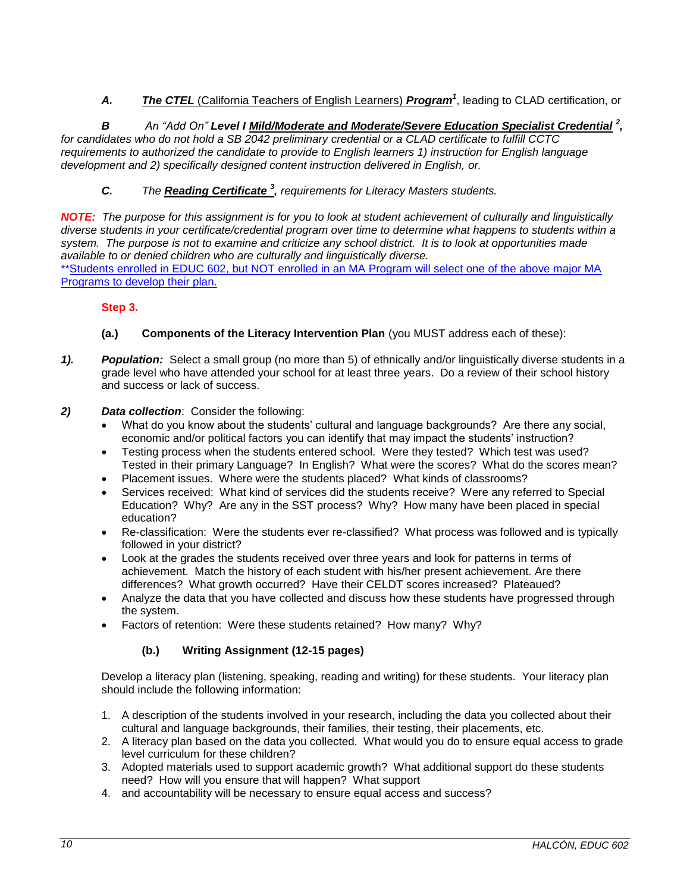*A. The CTEL* (California Teachers of English Learners) *Program<sup>1</sup>* , leading to CLAD certification, or

B An "Add On" Level I Mild/Moderate and Moderate/Severe Education Specialist Credential<sup>2</sup>, *for candidates who do not hold a SB 2042 preliminary credential or a CLAD certificate to fulfill CCTC requirements to authorized the candidate to provide to English learners 1) instruction for English language development and 2) specifically designed content instruction delivered in English, or.*

*C. The Reading Certificate <sup>3</sup> , requirements for Literacy Masters students.*

*NOTE: The purpose for this assignment is for you to look at student achievement of culturally and linguistically diverse students in your certificate/credential program over time to determine what happens to students within a system. The purpose is not to examine and criticize any school district. It is to look at opportunities made available to or denied children who are culturally and linguistically diverse.* 

\*\*Students enrolled in EDUC 602, but NOT enrolled in an MA Program will select one of the above major MA Programs to develop their plan.

# **Step 3.**

- **(a.) Components of the Literacy Intervention Plan** (you MUST address each of these):
- *1). Population:* Select a small group (no more than 5) of ethnically and/or linguistically diverse students in a grade level who have attended your school for at least three years. Do a review of their school history and success or lack of success.
- *2) Data collection*: Consider the following:
	- What do you know about the students' cultural and language backgrounds? Are there any social, economic and/or political factors you can identify that may impact the students' instruction?
	- Testing process when the students entered school. Were they tested? Which test was used? Tested in their primary Language? In English? What were the scores? What do the scores mean?
	- Placement issues. Where were the students placed? What kinds of classrooms?
	- Services received: What kind of services did the students receive? Were any referred to Special Education? Why? Are any in the SST process? Why? How many have been placed in special education?
	- Re-classification: Were the students ever re-classified? What process was followed and is typically followed in your district?
	- Look at the grades the students received over three years and look for patterns in terms of achievement. Match the history of each student with his/her present achievement. Are there differences? What growth occurred? Have their CELDT scores increased? Plateaued?
	- Analyze the data that you have collected and discuss how these students have progressed through the system.
	- Factors of retention: Were these students retained? How many? Why?

# **(b.) Writing Assignment (12-15 pages)**

Develop a literacy plan (listening, speaking, reading and writing) for these students. Your literacy plan should include the following information:

- 1. A description of the students involved in your research, including the data you collected about their cultural and language backgrounds, their families, their testing, their placements, etc.
- 2. A literacy plan based on the data you collected. What would you do to ensure equal access to grade level curriculum for these children?
- 3. Adopted materials used to support academic growth? What additional support do these students need? How will you ensure that will happen? What support
- 4. and accountability will be necessary to ensure equal access and success?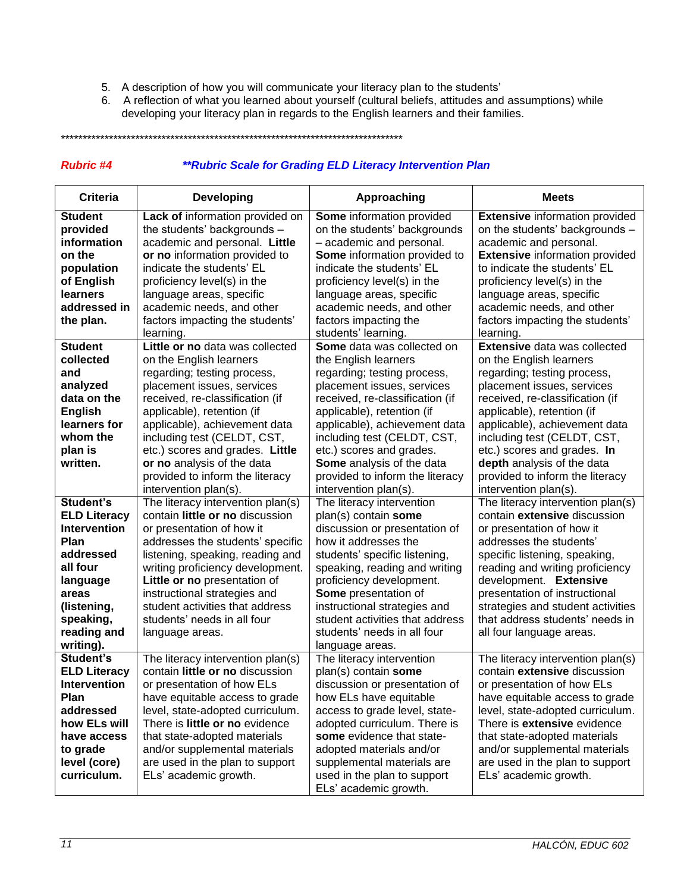- 5. A description of how you will communicate your literacy plan to the students'
- 6. A reflection of what you learned about yourself (cultural beliefs, attitudes and assumptions) while developing your literacy plan in regards to the English learners and their families.

\*\*\*\*\*\*\*\*\*\*\*\*\*\*\*\*\*\*\*\*\*\*\*\*\*\*\*\*\*\*\*\*\*\*\*\*\*\*\*\*\*\*\*\*\*\*\*\*\*\*\*\*\*\*\*\*\*\*\*\*\*\*\*\*\*\*\*\*\*\*\*\*\*\*\*\*\*\*

#### *Rubric #4 \*\*Rubric Scale for Grading ELD Literacy Intervention Plan*

| <b>Criteria</b>                                                                                                                                                       | <b>Developing</b>                                                                                                                                                                                                                                                                                                                                                                     | Approaching                                                                                                                                                                                                                                                                                                                                                                  | <b>Meets</b>                                                                                                                                                                                                                                                                                                                                                                          |
|-----------------------------------------------------------------------------------------------------------------------------------------------------------------------|---------------------------------------------------------------------------------------------------------------------------------------------------------------------------------------------------------------------------------------------------------------------------------------------------------------------------------------------------------------------------------------|------------------------------------------------------------------------------------------------------------------------------------------------------------------------------------------------------------------------------------------------------------------------------------------------------------------------------------------------------------------------------|---------------------------------------------------------------------------------------------------------------------------------------------------------------------------------------------------------------------------------------------------------------------------------------------------------------------------------------------------------------------------------------|
| <b>Student</b><br>provided<br>information<br>on the<br>population<br>of English<br><b>learners</b><br>addressed in<br>the plan.                                       | Lack of information provided on<br>the students' backgrounds -<br>academic and personal. Little<br>or no information provided to<br>indicate the students' EL<br>proficiency level(s) in the<br>language areas, specific<br>academic needs, and other<br>factors impacting the students'<br>learning.                                                                                 | Some information provided<br>on the students' backgrounds<br>- academic and personal.<br>Some information provided to<br>indicate the students' EL<br>proficiency level(s) in the<br>language areas, specific<br>academic needs, and other<br>factors impacting the<br>students' learning.                                                                                   | <b>Extensive information provided</b><br>on the students' backgrounds -<br>academic and personal.<br><b>Extensive information provided</b><br>to indicate the students' EL<br>proficiency level(s) in the<br>language areas, specific<br>academic needs, and other<br>factors impacting the students'<br>learning.                                                                    |
| <b>Student</b><br>collected<br>and<br>analyzed<br>data on the<br><b>English</b><br>learners for<br>whom the<br>plan is<br>written.                                    | Little or no data was collected<br>on the English learners<br>regarding; testing process,<br>placement issues, services<br>received, re-classification (if<br>applicable), retention (if<br>applicable), achievement data<br>including test (CELDT, CST,<br>etc.) scores and grades. Little<br>or no analysis of the data<br>provided to inform the literacy<br>intervention plan(s). | Some data was collected on<br>the English learners<br>regarding; testing process,<br>placement issues, services<br>received, re-classification (if<br>applicable), retention (if<br>applicable), achievement data<br>including test (CELDT, CST,<br>etc.) scores and grades.<br><b>Some</b> analysis of the data<br>provided to inform the literacy<br>intervention plan(s). | <b>Extensive data was collected</b><br>on the English learners<br>regarding; testing process,<br>placement issues, services<br>received, re-classification (if<br>applicable), retention (if<br>applicable), achievement data<br>including test (CELDT, CST,<br>etc.) scores and grades. In<br>depth analysis of the data<br>provided to inform the literacy<br>intervention plan(s). |
| Student's<br><b>ELD Literacy</b><br><b>Intervention</b><br>Plan<br>addressed<br>all four<br>language<br>areas<br>(listening,<br>speaking,<br>reading and<br>writing). | The literacy intervention plan(s)<br>contain little or no discussion<br>or presentation of how it<br>addresses the students' specific<br>listening, speaking, reading and<br>writing proficiency development.<br>Little or no presentation of<br>instructional strategies and<br>student activities that address<br>students' needs in all four<br>language areas.                    | The literacy intervention<br>plan(s) contain some<br>discussion or presentation of<br>how it addresses the<br>students' specific listening,<br>speaking, reading and writing<br>proficiency development.<br>Some presentation of<br>instructional strategies and<br>student activities that address<br>students' needs in all four<br>language areas.                        | The literacy intervention plan(s)<br>contain extensive discussion<br>or presentation of how it<br>addresses the students'<br>specific listening, speaking,<br>reading and writing proficiency<br>development. Extensive<br>presentation of instructional<br>strategies and student activities<br>that address students' needs in<br>all four language areas.                          |
| Student's<br><b>ELD Literacy</b><br><b>Intervention</b><br>Plan<br>addressed<br>how ELs will<br>have access<br>to grade<br>level (core)<br>curriculum.                | The literacy intervention plan(s)<br>contain little or no discussion<br>or presentation of how ELs<br>have equitable access to grade<br>level, state-adopted curriculum.<br>There is little or no evidence<br>that state-adopted materials<br>and/or supplemental materials<br>are used in the plan to support<br>ELs' academic growth.                                               | The literacy intervention<br>plan(s) contain some<br>discussion or presentation of<br>how ELs have equitable<br>access to grade level, state-<br>adopted curriculum. There is<br>some evidence that state-<br>adopted materials and/or<br>supplemental materials are<br>used in the plan to support<br>ELs' academic growth.                                                 | The literacy intervention plan(s)<br>contain extensive discussion<br>or presentation of how ELs<br>have equitable access to grade<br>level, state-adopted curriculum.<br>There is extensive evidence<br>that state-adopted materials<br>and/or supplemental materials<br>are used in the plan to support<br>ELs' academic growth.                                                     |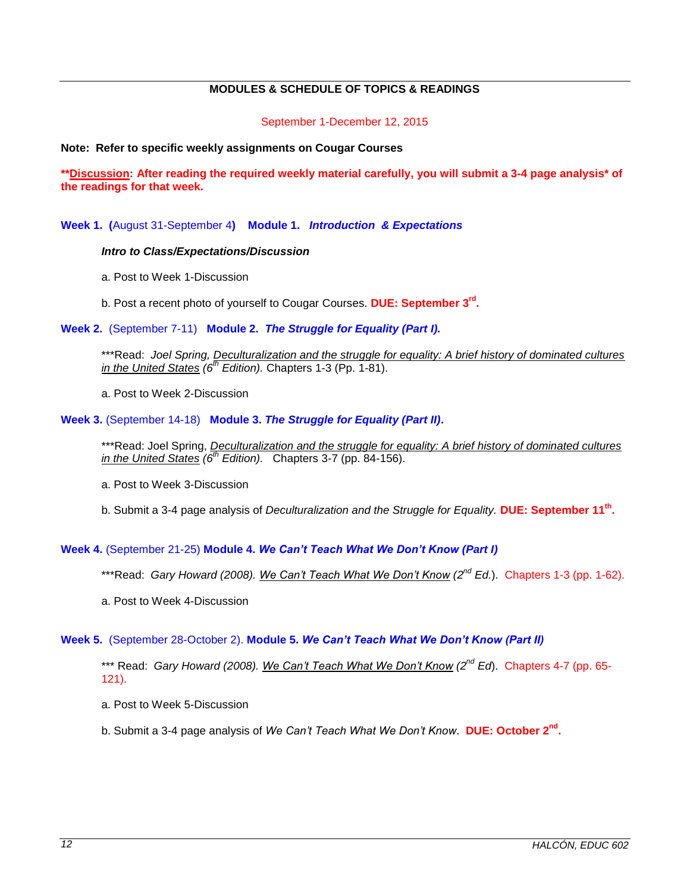# **MODULES & SCHEDULE OF TOPICS & READINGS**

September 1-December 12, 2015

#### <span id="page-11-0"></span>**Note: Refer to specific weekly assignments on Cougar Courses**

**\*\*Discussion: After reading the required weekly material carefully, you will submit a 3-4 page analysis\* of the readings for that week.** 

**Week 1. (**August 31-September 4**) Module 1.** *Introduction & Expectations*

#### *Intro to Class/Expectations/Discussion*

- a. Post to Week 1-Discussion
- b. Post a recent photo of yourself to Cougar Courses. **DUE: September 3rd .**

**Week 2.** (September 7-11) **Module 2.** *The Struggle for Equality (Part I).*

\*\*\*Read: *Joel Spring, Deculturalization and the struggle for equality: A brief history of dominated cultures in the United States (6th Edition).* Chapters 1-3 (Pp. 1-81).

a. Post to Week 2-Discussion

**Week 3.** (September 14-18) **Module 3.** *The Struggle for Equality (Part II)***.**

\*\*\*Read: Joel Spring, *Deculturalization and the struggle for equality: A brief history of dominated cultures in the United States (6th Edition).* Chapters 3-7 (pp. 84-156).

a. Post to Week 3-Discussion

b. Submit a 3-4 page analysis of *Deculturalization and the Struggle for Equality.* **DUE: September 11th .**

## **Week 4.** (September 21-25) **Module 4.** *We Can't Teach What We Don't Know (Part I)*

- \*\*\*Read: *Gary Howard (2008). We Can't Teach What We Don't Know (2nd Ed.*). Chapters 1-3 (pp. 1-62).
- a. Post to Week 4-Discussion

## **Week 5.** (September 28-October 2). **Module 5.** *We Can't Teach What We Don't Know (Part II)*

\*\*\* Read: *Gary Howard (2008). We Can't Teach What We Don't Know (2nd Ed*). Chapters 4-7 (pp. 65- 121).

a. Post to Week 5-Discussion

b. Submit a 3-4 page analysis of *We Can't Teach What We Don't Know*. **DUE: October 2nd .**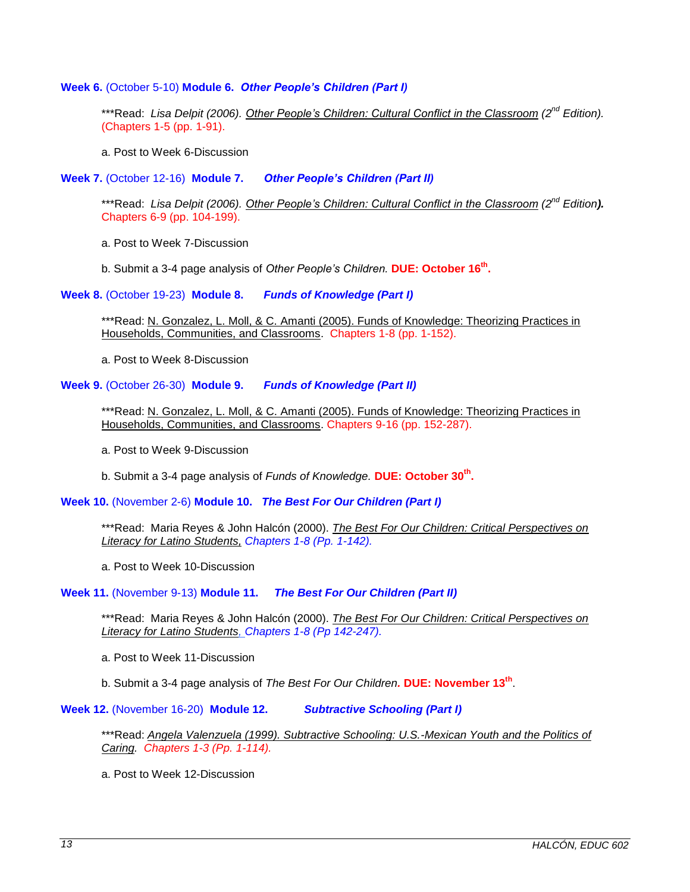#### **Week 6.** (October 5-10) **Module 6.** *Other People's Children (Part I)*

\*\*\*Read: *Lisa Delpit (2006). Other People's Children: Cultural Conflict in the Classroom (2nd Edition).*  (Chapters 1-5 (pp. 1-91).

a. Post to Week 6-Discussion

**Week 7.** (October 12-16) **Module 7.** *Other People's Children (Part II)*

\*\*\*Read: *Lisa Delpit (2006). Other People's Children: Cultural Conflict in the Classroom (2 nd Edition).*  Chapters 6-9 (pp. 104-199).

a. Post to Week 7-Discussion

b. Submit a 3-4 page analysis of *Other People's Children.* **DUE: October 16th .**

**Week 8.** (October 19-23) **Module 8.** *Funds of Knowledge (Part I)*

\*\*\*Read: N. Gonzalez, L. Moll, & C. Amanti (2005). Funds of Knowledge: Theorizing Practices in Households, Communities, and Classrooms. Chapters 1-8 (pp. 1-152).

a. Post to Week 8-Discussion

**Week 9.** (October 26-30) **Module 9.** *Funds of Knowledge (Part II)*

\*\*\*Read: N. Gonzalez, L. Moll, & C. Amanti (2005). Funds of Knowledge: Theorizing Practices in Households, Communities, and Classrooms. Chapters 9-16 (pp. 152-287).

a. Post to Week 9-Discussion

b. Submit a 3-4 page analysis of *Funds of Knowledge.* **DUE: October 30th .**

**Week 10.** (November 2-6) **Module 10.** *The Best For Our Children (Part I)*

\*\*\*Read: Maria Reyes & John Halcón (2000). *The Best For Our Children: Critical Perspectives on Literacy for Latino Students, Chapters 1-8 (Pp. 1-142).*

a. Post to Week 10-Discussion

**Week 11.** (November 9-13) **Module 11.** *The Best For Our Children (Part II)*

\*\*\*Read: Maria Reyes & John Halcón (2000). *The Best For Our Children: Critical Perspectives on Literacy for Latino Students, Chapters 1-8 (Pp 142-247).*

a. Post to Week 11-Discussion

b. Submit a 3-4 page analysis of *The Best For Our Children.* **DUE: November 13th** .

**Week 12.** (November 16-20) **Module 12.** *Subtractive Schooling (Part I)*

\*\*\*Read: *Angela Valenzuela (1999). Subtractive Schooling: U.S.-Mexican Youth and the Politics of Caring. Chapters 1-3 (Pp. 1-114).*

a. Post to Week 12-Discussion